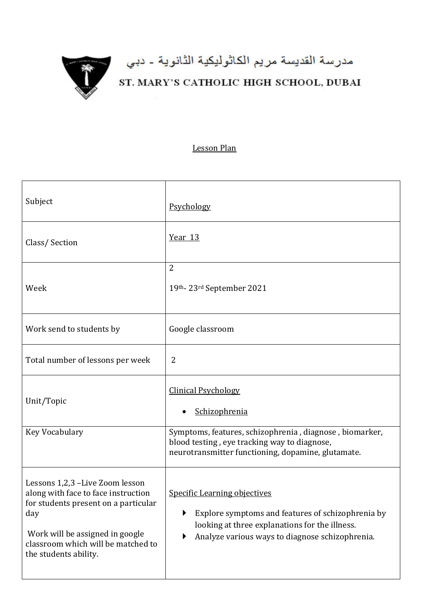

## مدرسة القديسة مريم الكاثوليكية الثانوية - دبي<br>ST. MARY'S CATHOLIC HIGH SCHOOL, DUBAI

## Lesson Plan

| Subject                                                                                                                                                                                                                 | Psychology                                                                                                                                                                                         |
|-------------------------------------------------------------------------------------------------------------------------------------------------------------------------------------------------------------------------|----------------------------------------------------------------------------------------------------------------------------------------------------------------------------------------------------|
| Class/Section                                                                                                                                                                                                           | <u>Year 13</u>                                                                                                                                                                                     |
| Week                                                                                                                                                                                                                    | 2<br>19th-23rd September 2021                                                                                                                                                                      |
| Work send to students by                                                                                                                                                                                                | Google classroom                                                                                                                                                                                   |
| Total number of lessons per week                                                                                                                                                                                        | $\overline{2}$                                                                                                                                                                                     |
| Unit/Topic                                                                                                                                                                                                              | <b>Clinical Psychology</b><br>Schizophrenia                                                                                                                                                        |
| <b>Key Vocabulary</b>                                                                                                                                                                                                   | Symptoms, features, schizophrenia, diagnose, biomarker,<br>blood testing, eye tracking way to diagnose,<br>neurotransmitter functioning, dopamine, glutamate.                                      |
| Lessons 1,2,3 -Live Zoom lesson<br>along with face to face instruction<br>for students present on a particular<br>day<br>Work will be assigned in google<br>classroom which will be matched to<br>the students ability. | <b>Specific Learning objectives</b><br>Explore symptoms and features of schizophrenia by<br>▶<br>looking at three explanations for the illness.<br>Analyze various ways to diagnose schizophrenia. |